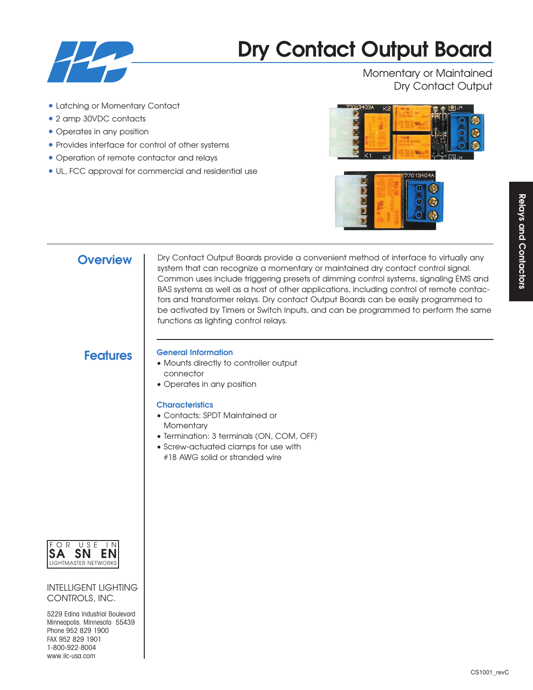

# **Dry Contact Output Board**

Momentary or Maintained Dry Contact Output

- Latching or Momentary Contact
- 2 amp 30VDC contacts
- Operates in any position
- Provides interface for control of other systems
- Operation of remote contactor and relays
- UL, FCC approval for commercial and residential use





**Overview** | Dry Contact Output Boards provide a convenient method of interface to virtually any system that can recognize a momentary or maintained dry contact control signal. Common uses include triggering presets of dimming control systems, signaling EMS and BAS systems as well as a host of other applications, including control of remote contactors and transformer relays. Dry contact Output Boards can be easily programmed to be activated by Timers or Switch Inputs, and can be programmed to perform the same functions as lighting control relays.

# **Features General Information**

- Mounts directly to controller output connector
- Operates in any position

# **Characteristics**

- Contacts: SPDT Maintained or **Momentary**
- Termination: 3 terminals (ON, COM, OFF)
- Screw-actuated clamps for use with #18 AWG solid or stranded wire



INTELLIGENT LIGHTING CONTROLS, INC.

5229 Edina Industrial Boulevard Minneapolis. Minnesota 55439 Phone 952 829 1900 FAX 952 829 1901 1-800-922-8004 www.ilc-usa.com